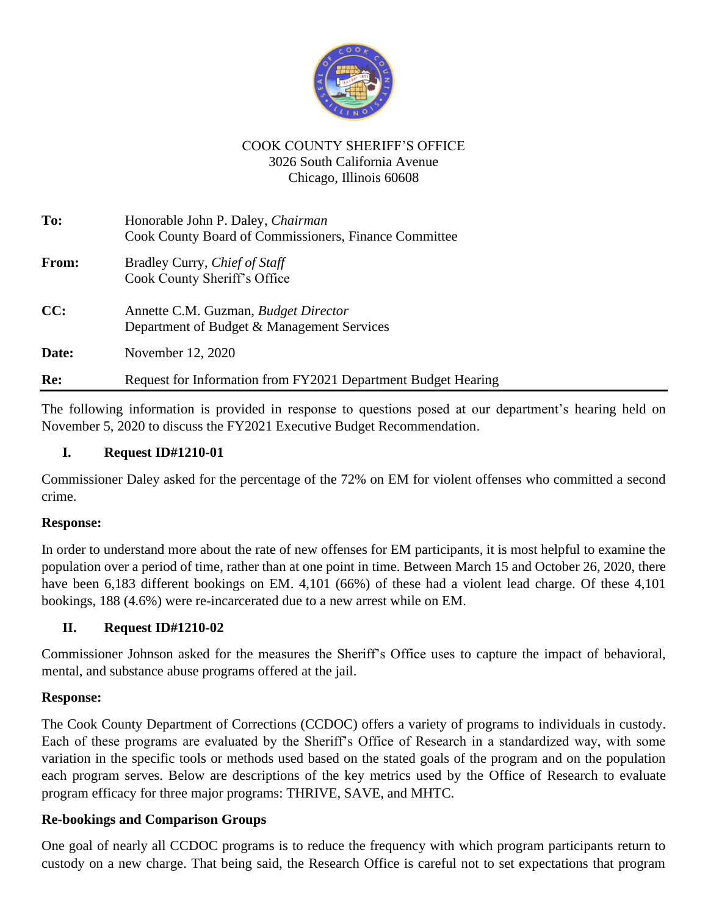

## COOK COUNTY SHERIFF'S OFFICE 3026 South California Avenue Chicago, Illinois 60608

| To:   | Honorable John P. Daley, Chairman<br>Cook County Board of Commissioners, Finance Committee |
|-------|--------------------------------------------------------------------------------------------|
| From: | Bradley Curry, <i>Chief of Staff</i><br>Cook County Sheriff's Office                       |
| CC:   | Annette C.M. Guzman, <i>Budget Director</i><br>Department of Budget & Management Services  |
| Date: | November 12, 2020                                                                          |
| Re:   | Request for Information from FY2021 Department Budget Hearing                              |

The following information is provided in response to questions posed at our department's hearing held on November 5, 2020 to discuss the FY2021 Executive Budget Recommendation.

## **I. Request ID#1210-01**

Commissioner Daley asked for the percentage of the 72% on EM for violent offenses who committed a second crime.

#### **Response:**

In order to understand more about the rate of new offenses for EM participants, it is most helpful to examine the population over a period of time, rather than at one point in time. Between March 15 and October 26, 2020, there have been 6,183 different bookings on EM. 4,101 (66%) of these had a violent lead charge. Of these 4,101 bookings, 188 (4.6%) were re-incarcerated due to a new arrest while on EM.

# **II. Request ID#1210-02**

Commissioner Johnson asked for the measures the Sheriff's Office uses to capture the impact of behavioral, mental, and substance abuse programs offered at the jail.

#### **Response:**

The Cook County Department of Corrections (CCDOC) offers a variety of programs to individuals in custody. Each of these programs are evaluated by the Sheriff's Office of Research in a standardized way, with some variation in the specific tools or methods used based on the stated goals of the program and on the population each program serves. Below are descriptions of the key metrics used by the Office of Research to evaluate program efficacy for three major programs: THRIVE, SAVE, and MHTC.

# **Re-bookings and Comparison Groups**

One goal of nearly all CCDOC programs is to reduce the frequency with which program participants return to custody on a new charge. That being said, the Research Office is careful not to set expectations that program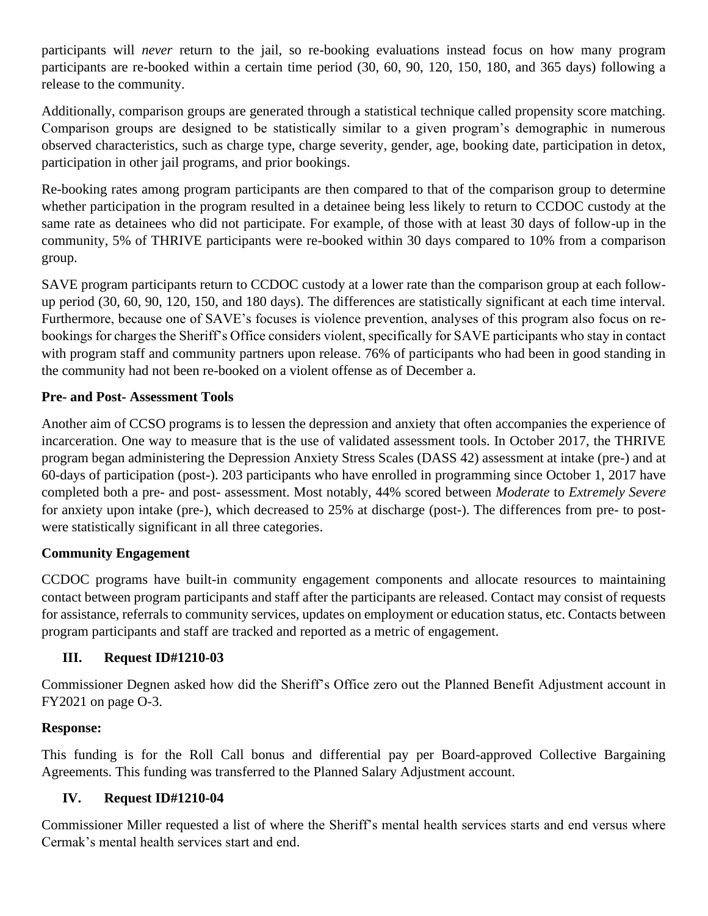participants will *never* return to the jail, so re-booking evaluations instead focus on how many program participants are re-booked within a certain time period (30, 60, 90, 120, 150, 180, and 365 days) following a release to the community.

Additionally, comparison groups are generated through a statistical technique called propensity score matching. Comparison groups are designed to be statistically similar to a given program's demographic in numerous observed characteristics, such as charge type, charge severity, gender, age, booking date, participation in detox, participation in other jail programs, and prior bookings.

Re-booking rates among program participants are then compared to that of the comparison group to determine whether participation in the program resulted in a detainee being less likely to return to CCDOC custody at the same rate as detainees who did not participate. For example, of those with at least 30 days of follow-up in the community, 5% of THRIVE participants were re-booked within 30 days compared to 10% from a comparison group.

SAVE program participants return to CCDOC custody at a lower rate than the comparison group at each followup period (30, 60, 90, 120, 150, and 180 days). The differences are statistically significant at each time interval. Furthermore, because one of SAVE's focuses is violence prevention, analyses of this program also focus on rebookings for charges the Sheriff's Office considers violent, specifically for SAVE participants who stay in contact with program staff and community partners upon release. 76% of participants who had been in good standing in the community had not been re-booked on a violent offense as of December a.

#### **Pre- and Post- Assessment Tools**

Another aim of CCSO programs is to lessen the depression and anxiety that often accompanies the experience of incarceration. One way to measure that is the use of validated assessment tools. In October 2017, the THRIVE program began administering the Depression Anxiety Stress Scales (DASS 42) assessment at intake (pre-) and at 60-days of participation (post-). 203 participants who have enrolled in programming since October 1, 2017 have completed both a pre- and post- assessment. Most notably, 44% scored between *Moderate* to *Extremely Severe* for anxiety upon intake (pre-), which decreased to 25% at discharge (post-). The differences from pre- to postwere statistically significant in all three categories.

#### **Community Engagement**

CCDOC programs have built-in community engagement components and allocate resources to maintaining contact between program participants and staff after the participants are released. Contact may consist of requests for assistance, referrals to community services, updates on employment or education status, etc. Contacts between program participants and staff are tracked and reported as a metric of engagement.

#### **III. Request ID#1210-03**

Commissioner Degnen asked how did the Sheriff's Office zero out the Planned Benefit Adjustment account in FY2021 on page O-3.

#### **Response:**

This funding is for the Roll Call bonus and differential pay per Board-approved Collective Bargaining Agreements. This funding was transferred to the Planned Salary Adjustment account.

#### **IV. Request ID#1210-04**

Commissioner Miller requested a list of where the Sheriff's mental health services starts and end versus where Cermak's mental health services start and end.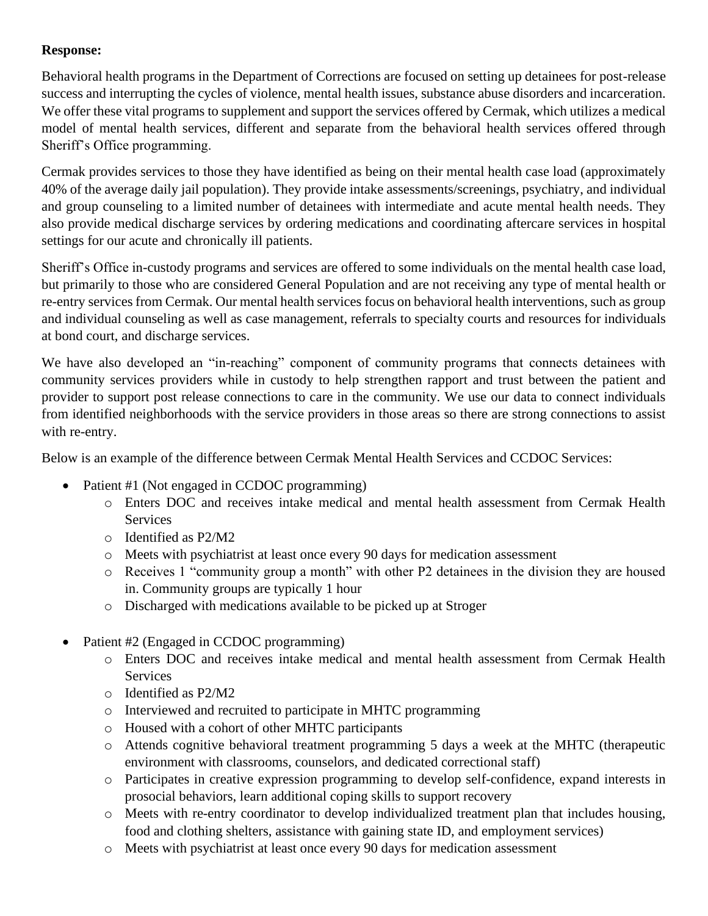# **Response:**

Behavioral health programs in the Department of Corrections are focused on setting up detainees for post-release success and interrupting the cycles of violence, mental health issues, substance abuse disorders and incarceration. We offer these vital programs to supplement and support the services offered by Cermak, which utilizes a medical model of mental health services, different and separate from the behavioral health services offered through Sheriff's Office programming.

Cermak provides services to those they have identified as being on their mental health case load (approximately 40% of the average daily jail population). They provide intake assessments/screenings, psychiatry, and individual and group counseling to a limited number of detainees with intermediate and acute mental health needs. They also provide medical discharge services by ordering medications and coordinating aftercare services in hospital settings for our acute and chronically ill patients.

Sheriff's Office in-custody programs and services are offered to some individuals on the mental health case load, but primarily to those who are considered General Population and are not receiving any type of mental health or re-entry services from Cermak. Our mental health services focus on behavioral health interventions, such as group and individual counseling as well as case management, referrals to specialty courts and resources for individuals at bond court, and discharge services.

We have also developed an "in-reaching" component of community programs that connects detainees with community services providers while in custody to help strengthen rapport and trust between the patient and provider to support post release connections to care in the community. We use our data to connect individuals from identified neighborhoods with the service providers in those areas so there are strong connections to assist with re-entry.

Below is an example of the difference between Cermak Mental Health Services and CCDOC Services:

- Patient #1 (Not engaged in CCDOC programming)
	- o Enters DOC and receives intake medical and mental health assessment from Cermak Health **Services**
	- o Identified as P2/M2
	- o Meets with psychiatrist at least once every 90 days for medication assessment
	- o Receives 1 "community group a month" with other P2 detainees in the division they are housed in. Community groups are typically 1 hour
	- o Discharged with medications available to be picked up at Stroger
- Patient #2 (Engaged in CCDOC programming)
	- o Enters DOC and receives intake medical and mental health assessment from Cermak Health **Services**
	- o Identified as P2/M2
	- o Interviewed and recruited to participate in MHTC programming
	- o Housed with a cohort of other MHTC participants
	- o Attends cognitive behavioral treatment programming 5 days a week at the MHTC (therapeutic environment with classrooms, counselors, and dedicated correctional staff)
	- o Participates in creative expression programming to develop self-confidence, expand interests in prosocial behaviors, learn additional coping skills to support recovery
	- o Meets with re-entry coordinator to develop individualized treatment plan that includes housing, food and clothing shelters, assistance with gaining state ID, and employment services)
	- o Meets with psychiatrist at least once every 90 days for medication assessment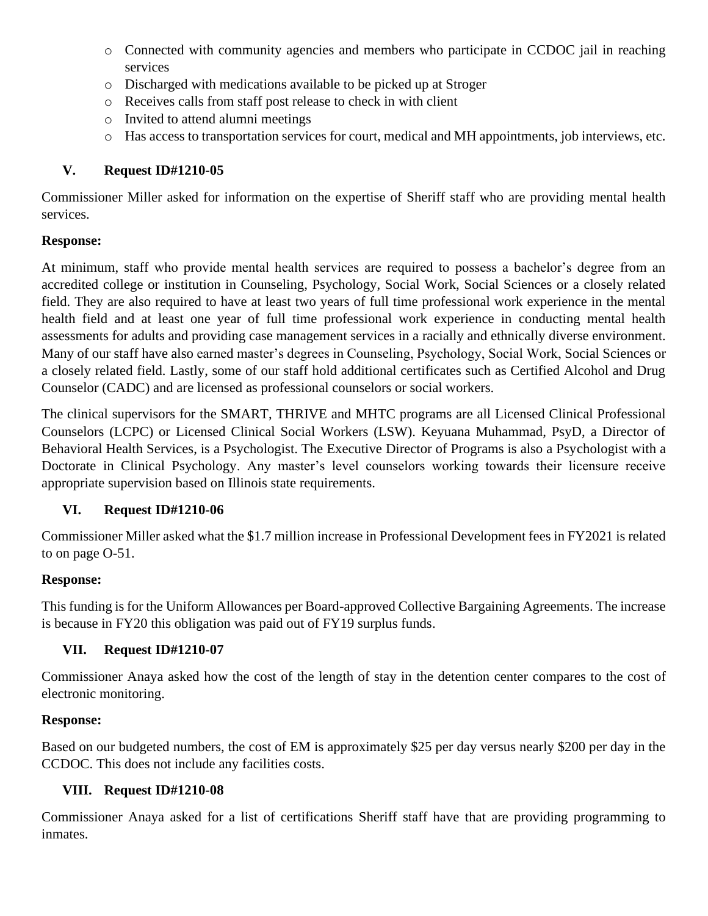- o Connected with community agencies and members who participate in CCDOC jail in reaching services
- o Discharged with medications available to be picked up at Stroger
- o Receives calls from staff post release to check in with client
- o Invited to attend alumni meetings
- o Has access to transportation services for court, medical and MH appointments, job interviews, etc.

# **V. Request ID#1210-05**

Commissioner Miller asked for information on the expertise of Sheriff staff who are providing mental health services.

## **Response:**

At minimum, staff who provide mental health services are required to possess a bachelor's degree from an accredited college or institution in Counseling, Psychology, Social Work, Social Sciences or a closely related field. They are also required to have at least two years of full time professional work experience in the mental health field and at least one year of full time professional work experience in conducting mental health assessments for adults and providing case management services in a racially and ethnically diverse environment. Many of our staff have also earned master's degrees in Counseling, Psychology, Social Work, Social Sciences or a closely related field. Lastly, some of our staff hold additional certificates such as Certified Alcohol and Drug Counselor (CADC) and are licensed as professional counselors or social workers.

The clinical supervisors for the SMART, THRIVE and MHTC programs are all Licensed Clinical Professional Counselors (LCPC) or Licensed Clinical Social Workers (LSW). Keyuana Muhammad, PsyD, a Director of Behavioral Health Services, is a Psychologist. The Executive Director of Programs is also a Psychologist with a Doctorate in Clinical Psychology. Any master's level counselors working towards their licensure receive appropriate supervision based on Illinois state requirements.

# **VI. Request ID#1210-06**

Commissioner Miller asked what the \$1.7 million increase in Professional Development fees in FY2021 is related to on page O-51.

# **Response:**

This funding is for the Uniform Allowances per Board-approved Collective Bargaining Agreements. The increase is because in FY20 this obligation was paid out of FY19 surplus funds.

# **VII. Request ID#1210-07**

Commissioner Anaya asked how the cost of the length of stay in the detention center compares to the cost of electronic monitoring.

#### **Response:**

Based on our budgeted numbers, the cost of EM is approximately \$25 per day versus nearly \$200 per day in the CCDOC. This does not include any facilities costs.

# **VIII. Request ID#1210-08**

Commissioner Anaya asked for a list of certifications Sheriff staff have that are providing programming to inmates.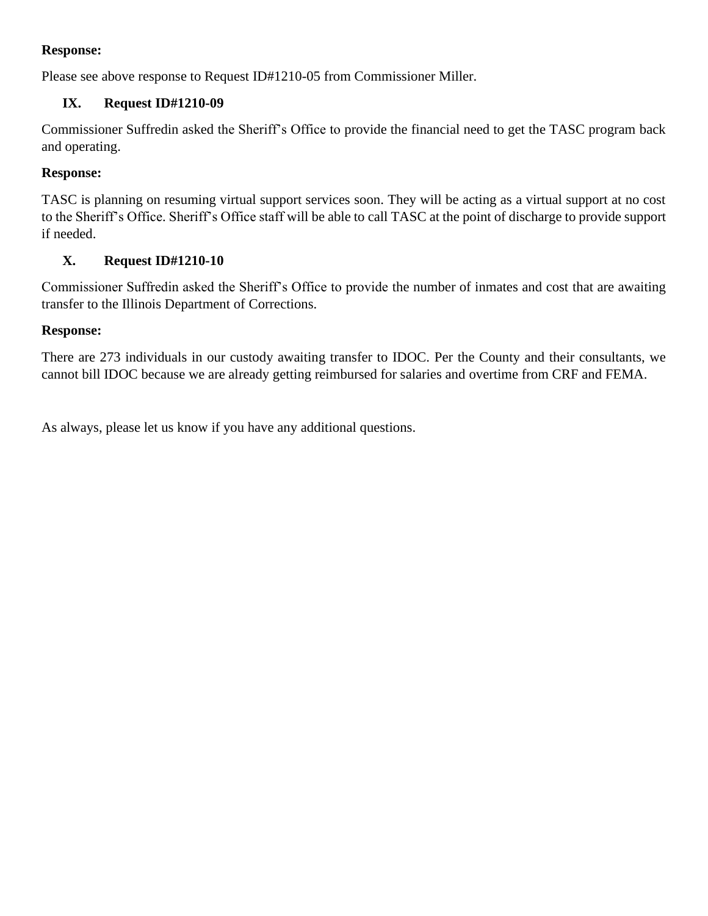## **Response:**

Please see above response to Request ID#1210-05 from Commissioner Miller.

# **IX. Request ID#1210-09**

Commissioner Suffredin asked the Sheriff's Office to provide the financial need to get the TASC program back and operating.

#### **Response:**

TASC is planning on resuming virtual support services soon. They will be acting as a virtual support at no cost to the Sheriff's Office. Sheriff's Office staff will be able to call TASC at the point of discharge to provide support if needed.

#### **X. Request ID#1210-10**

Commissioner Suffredin asked the Sheriff's Office to provide the number of inmates and cost that are awaiting transfer to the Illinois Department of Corrections.

#### **Response:**

There are 273 individuals in our custody awaiting transfer to IDOC. Per the County and their consultants, we cannot bill IDOC because we are already getting reimbursed for salaries and overtime from CRF and FEMA.

As always, please let us know if you have any additional questions.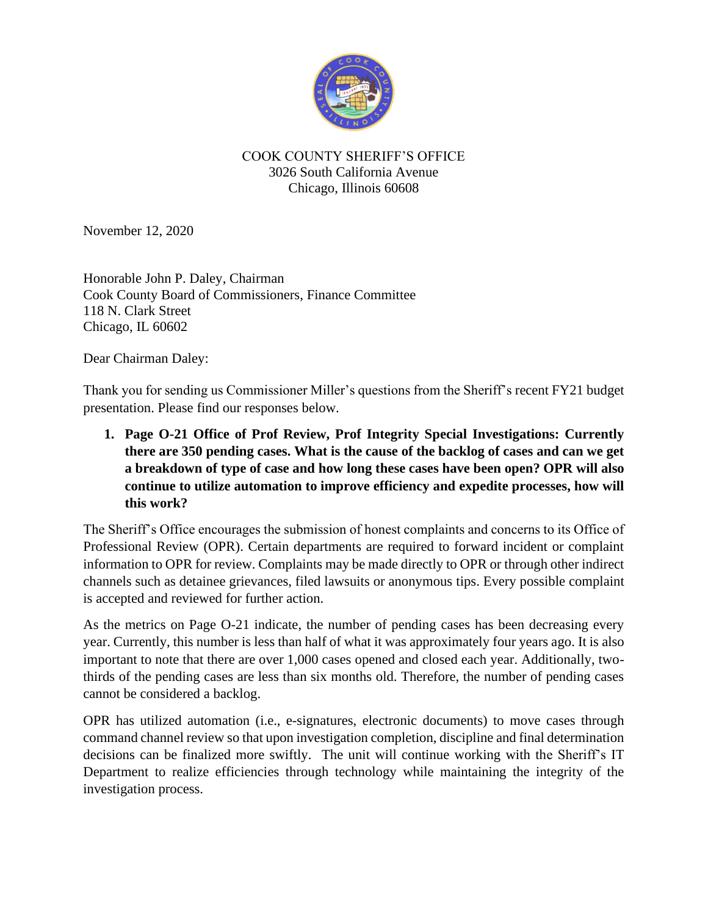

#### COOK COUNTY SHERIFF'S OFFICE 3026 South California Avenue Chicago, Illinois 60608

November 12, 2020

Honorable John P. Daley, Chairman Cook County Board of Commissioners, Finance Committee 118 N. Clark Street Chicago, IL 60602

Dear Chairman Daley:

Thank you for sending us Commissioner Miller's questions from the Sheriff's recent FY21 budget presentation. Please find our responses below.

**1. Page O-21 Office of Prof Review, Prof Integrity Special Investigations: Currently there are 350 pending cases. What is the cause of the backlog of cases and can we get a breakdown of type of case and how long these cases have been open? OPR will also continue to utilize automation to improve efficiency and expedite processes, how will this work?**

The Sheriff's Office encourages the submission of honest complaints and concerns to its Office of Professional Review (OPR). Certain departments are required to forward incident or complaint information to OPR for review. Complaints may be made directly to OPR or through other indirect channels such as detainee grievances, filed lawsuits or anonymous tips. Every possible complaint is accepted and reviewed for further action.

As the metrics on Page O-21 indicate, the number of pending cases has been decreasing every year. Currently, this number is less than half of what it was approximately four years ago. It is also important to note that there are over 1,000 cases opened and closed each year. Additionally, twothirds of the pending cases are less than six months old. Therefore, the number of pending cases cannot be considered a backlog.

OPR has utilized automation (i.e., e-signatures, electronic documents) to move cases through command channel review so that upon investigation completion, discipline and final determination decisions can be finalized more swiftly. The unit will continue working with the Sheriff's IT Department to realize efficiencies through technology while maintaining the integrity of the investigation process.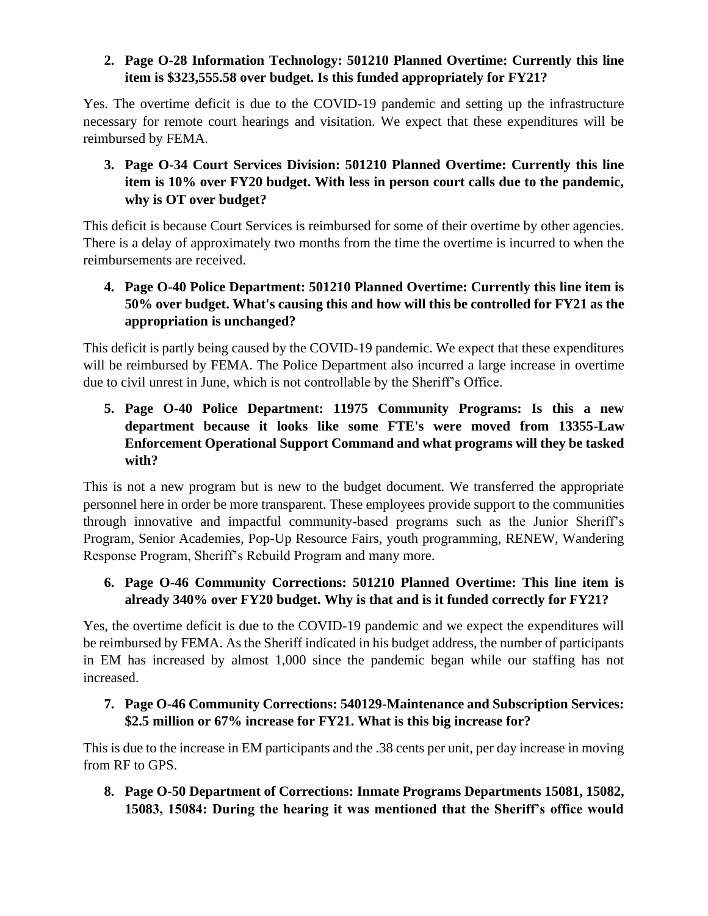## **2. Page O-28 Information Technology: 501210 Planned Overtime: Currently this line item is \$323,555.58 over budget. Is this funded appropriately for FY21?**

Yes. The overtime deficit is due to the COVID-19 pandemic and setting up the infrastructure necessary for remote court hearings and visitation. We expect that these expenditures will be reimbursed by FEMA.

**3. Page O-34 Court Services Division: 501210 Planned Overtime: Currently this line item is 10% over FY20 budget. With less in person court calls due to the pandemic, why is OT over budget?**

This deficit is because Court Services is reimbursed for some of their overtime by other agencies. There is a delay of approximately two months from the time the overtime is incurred to when the reimbursements are received.

**4. Page O-40 Police Department: 501210 Planned Overtime: Currently this line item is 50% over budget. What's causing this and how will this be controlled for FY21 as the appropriation is unchanged?**

This deficit is partly being caused by the COVID-19 pandemic. We expect that these expenditures will be reimbursed by FEMA. The Police Department also incurred a large increase in overtime due to civil unrest in June, which is not controllable by the Sheriff's Office.

**5. Page O-40 Police Department: 11975 Community Programs: Is this a new department because it looks like some FTE's were moved from 13355-Law Enforcement Operational Support Command and what programs will they be tasked with?**

This is not a new program but is new to the budget document. We transferred the appropriate personnel here in order be more transparent. These employees provide support to the communities through innovative and impactful community-based programs such as the Junior Sheriff's Program, Senior Academies, Pop-Up Resource Fairs, youth programming, RENEW, Wandering Response Program, Sheriff's Rebuild Program and many more.

# **6. Page O-46 Community Corrections: 501210 Planned Overtime: This line item is already 340% over FY20 budget. Why is that and is it funded correctly for FY21?**

Yes, the overtime deficit is due to the COVID-19 pandemic and we expect the expenditures will be reimbursed by FEMA. As the Sheriff indicated in his budget address, the number of participants in EM has increased by almost 1,000 since the pandemic began while our staffing has not increased.

# **7. Page O-46 Community Corrections: 540129-Maintenance and Subscription Services: \$2.5 million or 67% increase for FY21. What is this big increase for?**

This is due to the increase in EM participants and the .38 cents per unit, per day increase in moving from RF to GPS.

**8. Page O-50 Department of Corrections: Inmate Programs Departments 15081, 15082, 15083, 15084: During the hearing it was mentioned that the Sheriff's office would**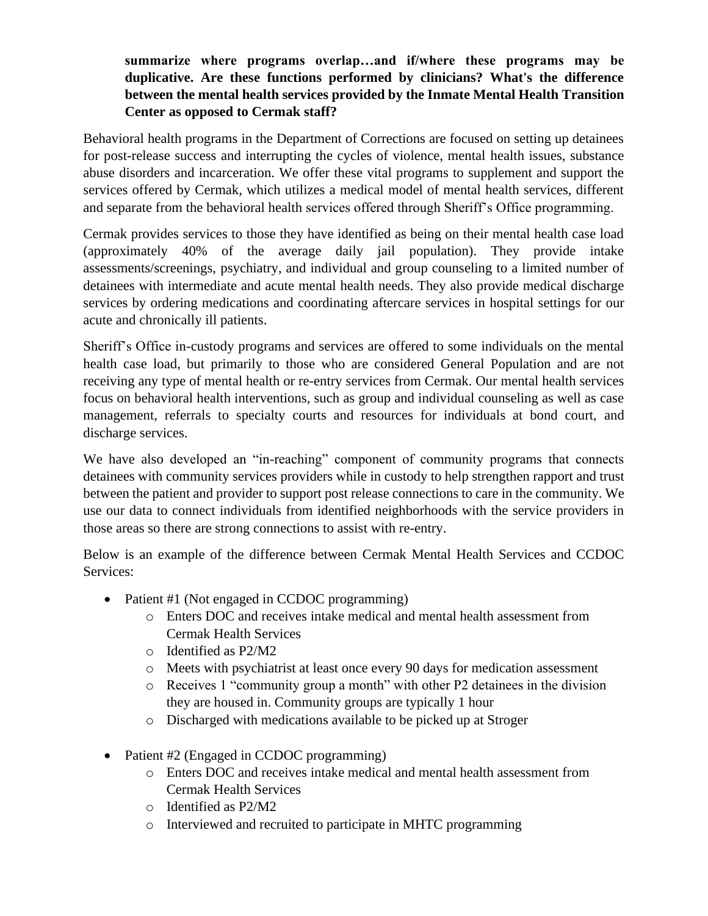## **summarize where programs overlap…and if/where these programs may be duplicative. Are these functions performed by clinicians? What's the difference between the mental health services provided by the Inmate Mental Health Transition Center as opposed to Cermak staff?**

Behavioral health programs in the Department of Corrections are focused on setting up detainees for post-release success and interrupting the cycles of violence, mental health issues, substance abuse disorders and incarceration. We offer these vital programs to supplement and support the services offered by Cermak, which utilizes a medical model of mental health services, different and separate from the behavioral health services offered through Sheriff's Office programming.

Cermak provides services to those they have identified as being on their mental health case load (approximately 40% of the average daily jail population). They provide intake assessments/screenings, psychiatry, and individual and group counseling to a limited number of detainees with intermediate and acute mental health needs. They also provide medical discharge services by ordering medications and coordinating aftercare services in hospital settings for our acute and chronically ill patients.

Sheriff's Office in-custody programs and services are offered to some individuals on the mental health case load, but primarily to those who are considered General Population and are not receiving any type of mental health or re-entry services from Cermak. Our mental health services focus on behavioral health interventions, such as group and individual counseling as well as case management, referrals to specialty courts and resources for individuals at bond court, and discharge services.

We have also developed an "in-reaching" component of community programs that connects detainees with community services providers while in custody to help strengthen rapport and trust between the patient and provider to support post release connections to care in the community. We use our data to connect individuals from identified neighborhoods with the service providers in those areas so there are strong connections to assist with re-entry.

Below is an example of the difference between Cermak Mental Health Services and CCDOC Services:

- Patient #1 (Not engaged in CCDOC programming)
	- o Enters DOC and receives intake medical and mental health assessment from Cermak Health Services
	- o Identified as P2/M2
	- o Meets with psychiatrist at least once every 90 days for medication assessment
	- o Receives 1 "community group a month" with other P2 detainees in the division they are housed in. Community groups are typically 1 hour
	- o Discharged with medications available to be picked up at Stroger
- Patient #2 (Engaged in CCDOC programming)
	- o Enters DOC and receives intake medical and mental health assessment from Cermak Health Services
	- o Identified as P2/M2
	- o Interviewed and recruited to participate in MHTC programming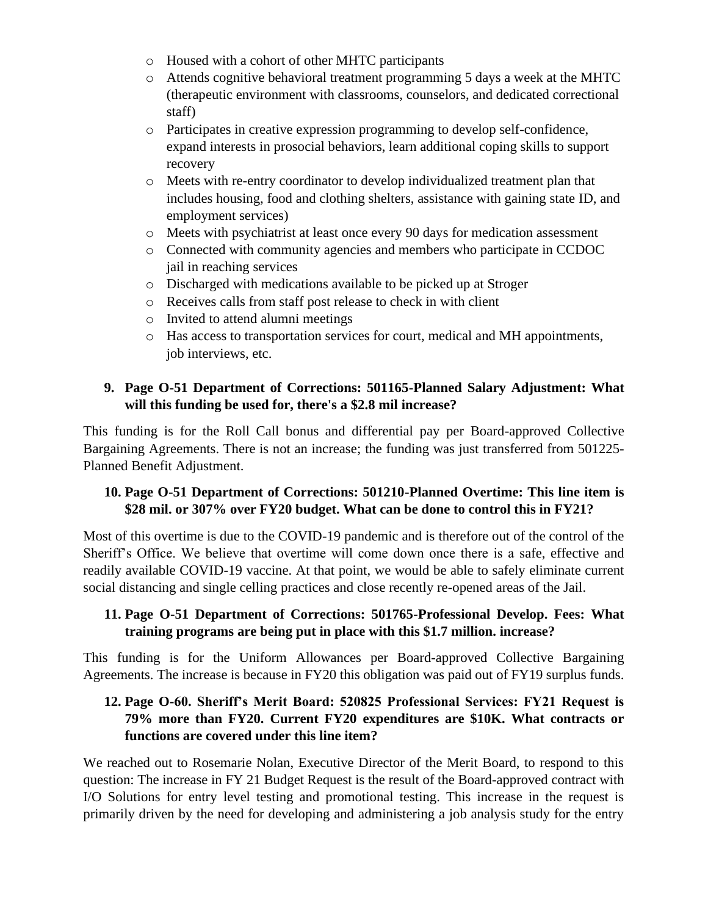- o Housed with a cohort of other MHTC participants
- o Attends cognitive behavioral treatment programming 5 days a week at the MHTC (therapeutic environment with classrooms, counselors, and dedicated correctional staff)
- o Participates in creative expression programming to develop self-confidence, expand interests in prosocial behaviors, learn additional coping skills to support recovery
- o Meets with re-entry coordinator to develop individualized treatment plan that includes housing, food and clothing shelters, assistance with gaining state ID, and employment services)
- o Meets with psychiatrist at least once every 90 days for medication assessment
- o Connected with community agencies and members who participate in CCDOC jail in reaching services
- o Discharged with medications available to be picked up at Stroger
- o Receives calls from staff post release to check in with client
- o Invited to attend alumni meetings
- o Has access to transportation services for court, medical and MH appointments, job interviews, etc.

# **9. Page O-51 Department of Corrections: 501165-Planned Salary Adjustment: What will this funding be used for, there's a \$2.8 mil increase?**

This funding is for the Roll Call bonus and differential pay per Board-approved Collective Bargaining Agreements. There is not an increase; the funding was just transferred from 501225- Planned Benefit Adjustment.

## **10. Page O-51 Department of Corrections: 501210-Planned Overtime: This line item is \$28 mil. or 307% over FY20 budget. What can be done to control this in FY21?**

Most of this overtime is due to the COVID-19 pandemic and is therefore out of the control of the Sheriff's Office. We believe that overtime will come down once there is a safe, effective and readily available COVID-19 vaccine. At that point, we would be able to safely eliminate current social distancing and single celling practices and close recently re-opened areas of the Jail.

# **11. Page O-51 Department of Corrections: 501765-Professional Develop. Fees: What training programs are being put in place with this \$1.7 million. increase?**

This funding is for the Uniform Allowances per Board-approved Collective Bargaining Agreements. The increase is because in FY20 this obligation was paid out of FY19 surplus funds.

## **12. Page O-60. Sheriff's Merit Board: 520825 Professional Services: FY21 Request is 79% more than FY20. Current FY20 expenditures are \$10K. What contracts or functions are covered under this line item?**

We reached out to Rosemarie Nolan, Executive Director of the Merit Board, to respond to this question: The increase in FY 21 Budget Request is the result of the Board-approved contract with I/O Solutions for entry level testing and promotional testing. This increase in the request is primarily driven by the need for developing and administering a job analysis study for the entry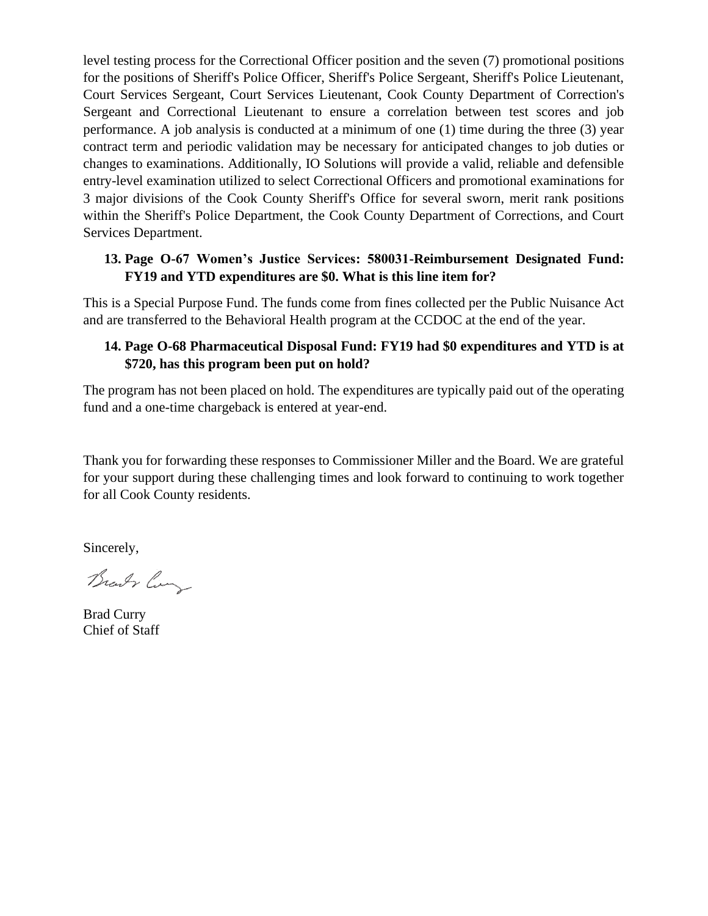level testing process for the Correctional Officer position and the seven (7) promotional positions for the positions of Sheriff's Police Officer, Sheriff's Police Sergeant, Sheriff's Police Lieutenant, Court Services Sergeant, Court Services Lieutenant, Cook County Department of Correction's Sergeant and Correctional Lieutenant to ensure a correlation between test scores and job performance. A job analysis is conducted at a minimum of one (1) time during the three (3) year contract term and periodic validation may be necessary for anticipated changes to job duties or changes to examinations. Additionally, IO Solutions will provide a valid, reliable and defensible entry-level examination utilized to select Correctional Officers and promotional examinations for 3 major divisions of the Cook County Sheriff's Office for several sworn, merit rank positions within the Sheriff's Police Department, the Cook County Department of Corrections, and Court Services Department.

## **13. Page O-67 Women's Justice Services: 580031-Reimbursement Designated Fund: FY19 and YTD expenditures are \$0. What is this line item for?**

This is a Special Purpose Fund. The funds come from fines collected per the Public Nuisance Act and are transferred to the Behavioral Health program at the CCDOC at the end of the year.

## **14. Page O-68 Pharmaceutical Disposal Fund: FY19 had \$0 expenditures and YTD is at \$720, has this program been put on hold?**

The program has not been placed on hold. The expenditures are typically paid out of the operating fund and a one-time chargeback is entered at year-end.

Thank you for forwarding these responses to Commissioner Miller and the Board. We are grateful for your support during these challenging times and look forward to continuing to work together for all Cook County residents.

Sincerely,

Brandy Com

Brad Curry Chief of Staff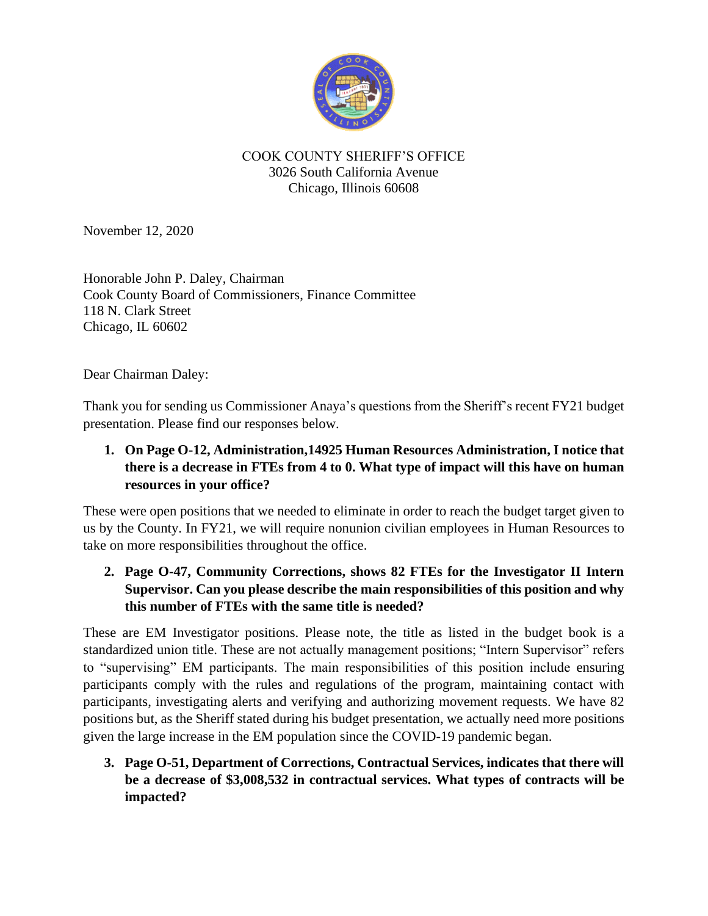

#### COOK COUNTY SHERIFF'S OFFICE 3026 South California Avenue Chicago, Illinois 60608

November 12, 2020

Honorable John P. Daley, Chairman Cook County Board of Commissioners, Finance Committee 118 N. Clark Street Chicago, IL 60602

Dear Chairman Daley:

Thank you for sending us Commissioner Anaya's questions from the Sheriff's recent FY21 budget presentation. Please find our responses below.

# **1. On Page O-12, Administration,14925 Human Resources Administration, I notice that there is a decrease in FTEs from 4 to 0. What type of impact will this have on human resources in your office?**

These were open positions that we needed to eliminate in order to reach the budget target given to us by the County. In FY21, we will require nonunion civilian employees in Human Resources to take on more responsibilities throughout the office.

**2. Page O-47, Community Corrections, shows 82 FTEs for the Investigator II Intern Supervisor. Can you please describe the main responsibilities of this position and why this number of FTEs with the same title is needed?**

These are EM Investigator positions. Please note, the title as listed in the budget book is a standardized union title. These are not actually management positions; "Intern Supervisor" refers to "supervising" EM participants. The main responsibilities of this position include ensuring participants comply with the rules and regulations of the program, maintaining contact with participants, investigating alerts and verifying and authorizing movement requests. We have 82 positions but, as the Sheriff stated during his budget presentation, we actually need more positions given the large increase in the EM population since the COVID-19 pandemic began.

**3. Page O-51, Department of Corrections, Contractual Services, indicates that there will be a decrease of \$3,008,532 in contractual services. What types of contracts will be impacted?**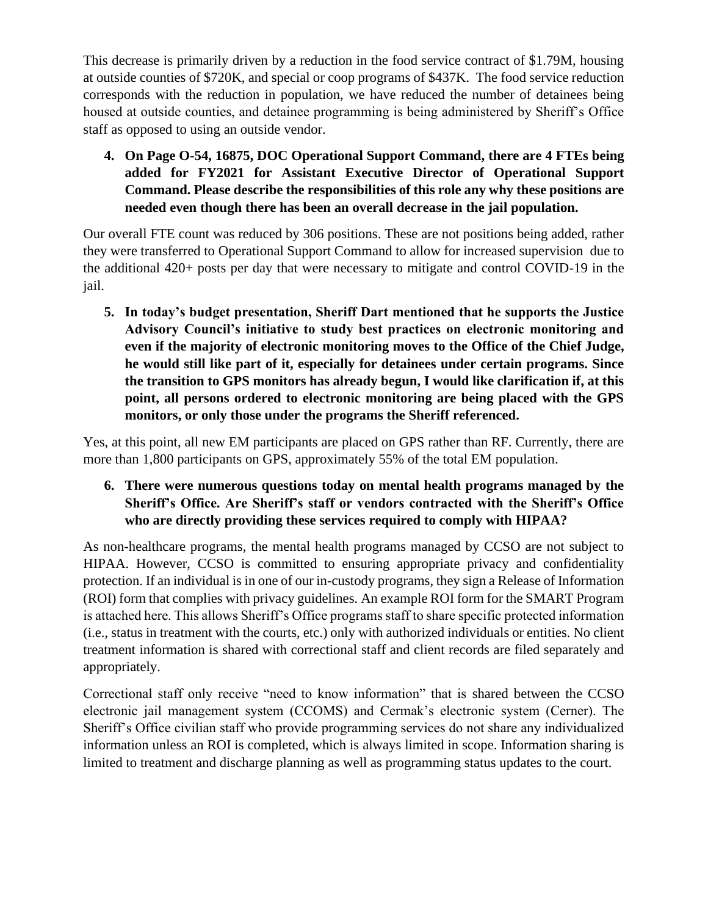This decrease is primarily driven by a reduction in the food service contract of \$1.79M, housing at outside counties of \$720K, and special or coop programs of \$437K. The food service reduction corresponds with the reduction in population, we have reduced the number of detainees being housed at outside counties, and detainee programming is being administered by Sheriff's Office staff as opposed to using an outside vendor.

**4. On Page O-54, 16875, DOC Operational Support Command, there are 4 FTEs being added for FY2021 for Assistant Executive Director of Operational Support Command. Please describe the responsibilities of this role any why these positions are needed even though there has been an overall decrease in the jail population.**

Our overall FTE count was reduced by 306 positions. These are not positions being added, rather they were transferred to Operational Support Command to allow for increased supervision due to the additional 420+ posts per day that were necessary to mitigate and control COVID-19 in the jail.

**5. In today's budget presentation, Sheriff Dart mentioned that he supports the Justice Advisory Council's initiative to study best practices on electronic monitoring and even if the majority of electronic monitoring moves to the Office of the Chief Judge, he would still like part of it, especially for detainees under certain programs. Since the transition to GPS monitors has already begun, I would like clarification if, at this point, all persons ordered to electronic monitoring are being placed with the GPS monitors, or only those under the programs the Sheriff referenced.**

Yes, at this point, all new EM participants are placed on GPS rather than RF. Currently, there are more than 1,800 participants on GPS, approximately 55% of the total EM population.

# **6. There were numerous questions today on mental health programs managed by the Sheriff's Office. Are Sheriff's staff or vendors contracted with the Sheriff's Office who are directly providing these services required to comply with HIPAA?**

As non-healthcare programs, the mental health programs managed by CCSO are not subject to HIPAA. However, CCSO is committed to ensuring appropriate privacy and confidentiality protection. If an individual is in one of our in-custody programs, they sign a Release of Information (ROI) form that complies with privacy guidelines. An example ROI form for the SMART Program is attached here. This allows Sheriff's Office programs staff to share specific protected information (i.e., status in treatment with the courts, etc.) only with authorized individuals or entities. No client treatment information is shared with correctional staff and client records are filed separately and appropriately.

Correctional staff only receive "need to know information" that is shared between the CCSO electronic jail management system (CCOMS) and Cermak's electronic system (Cerner). The Sheriff's Office civilian staff who provide programming services do not share any individualized information unless an ROI is completed, which is always limited in scope. Information sharing is limited to treatment and discharge planning as well as programming status updates to the court.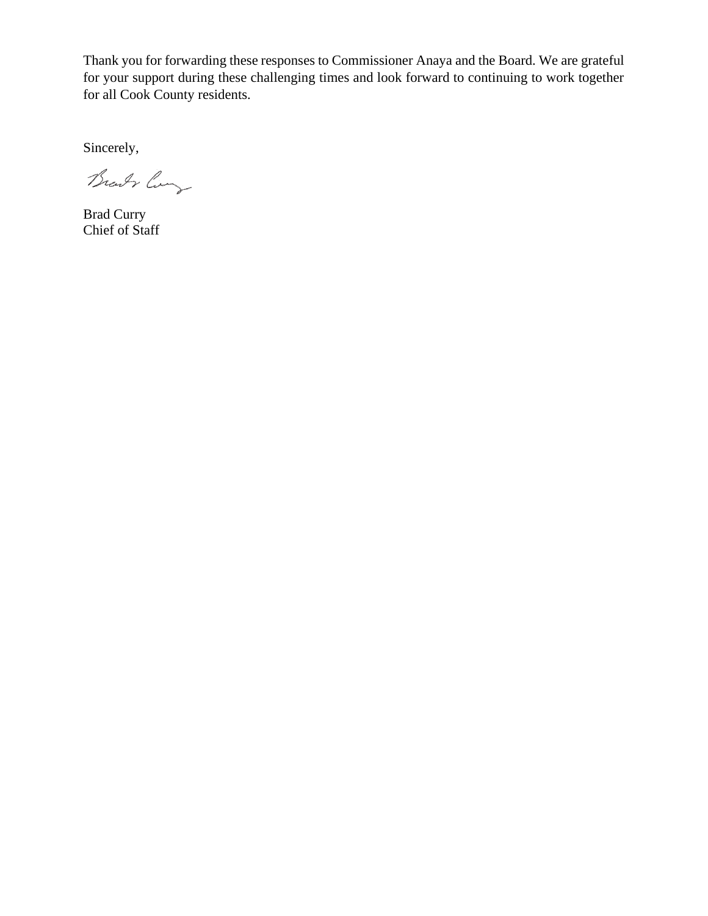Thank you for forwarding these responses to Commissioner Anaya and the Board. We are grateful for your support during these challenging times and look forward to continuing to work together for all Cook County residents.

Sincerely,

Brandy ling

Brad Curry Chief of Staff